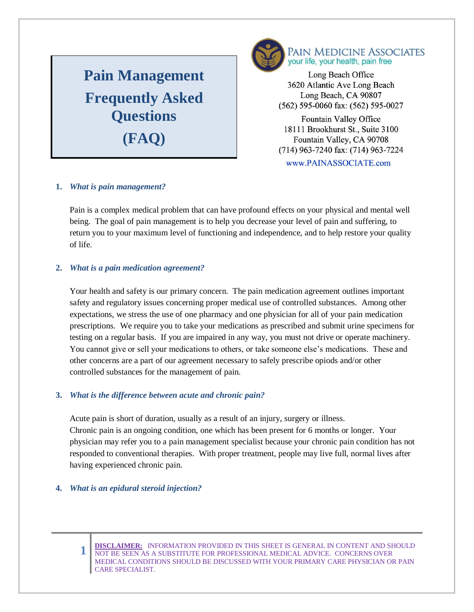# **Pain Management Frequently Asked Questions**



PAIN MEDICINE ASSOCIATES your life, your health, pain free

Long Beach Office 3620 Atlantic Ave Long Beach Long Beach, CA 90807 (562) 595-0060 fax: (562) 595-0027

Fountain Valley Office **(FAQ)** 18111 Brookhurst St., Suite 3100<br>Fountain Valley, CA 90708 Fountain Valley, CA 90708  $714)$  062 7240 for: (714) 06  $(117)$  303-1240 ias.  $(117)$  30-1. www.PAINASSOCIATE.com

### **1.** *What is pain management?*

Pain is a complex medical problem that can have profound effects on your physical and mental well being. The goal of pain management is to help you decrease your level of pain and suffering, to return you to your maximum level of functioning and independence, and to help restore your quality of life.

## **2.** *What is a pain medication agreement?*

Your health and safety is our primary concern. The pain medication agreement outlines important safety and regulatory issues concerning proper medical use of controlled substances. Among other expectations, we stress the use of one pharmacy and one physician for all of your pain medication prescriptions. We require you to take your medications as prescribed and submit urine specimens for testing on a regular basis. If you are impaired in any way, you must not drive or operate machinery. You cannot give or sell your medications to others, or take someone else's medications. These and other concerns are a part of our agreement necessary to safely prescribe opiods and/or other controlled substances for the management of pain.

# **3.** *What is the difference between acute and chronic pain?*

Acute pain is short of duration, usually as a result of an injury, surgery or illness. Chronic pain is an ongoing condition, one which has been present for 6 months or longer. Your physician may refer you to a pain management specialist because your chronic pain condition has not responded to conventional therapies. With proper treatment, people may live full, normal lives after having experienced chronic pain.

### **4.** *What is an epidural steroid injection?*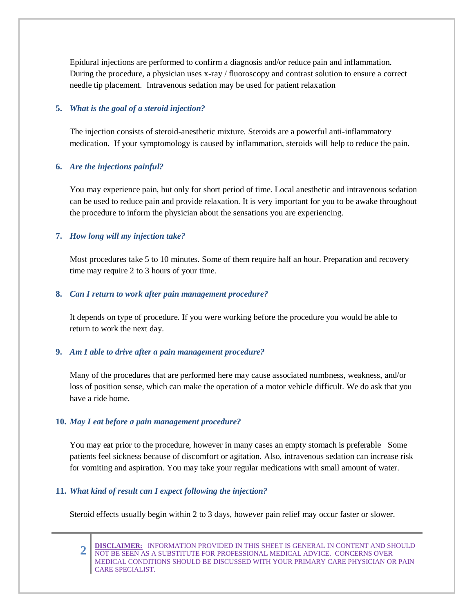Epidural injections are performed to confirm a diagnosis and/or reduce pain and inflammation. During the procedure, a physician uses x-ray / fluoroscopy and contrast solution to ensure a correct needle tip placement. Intravenous sedation may be used for patient relaxation

#### **5.** *What is the goal of a steroid injection?*

The injection consists of steroid-anesthetic mixture. Steroids are a powerful anti-inflammatory medication. If your symptomology is caused by inflammation, steroids will help to reduce the pain.

#### **6.** *Are the injections painful?*

You may experience pain, but only for short period of time. Local anesthetic and intravenous sedation can be used to reduce pain and provide relaxation. It is very important for you to be awake throughout the procedure to inform the physician about the sensations you are experiencing.

### **7.** *How long will my injection take?*

Most procedures take 5 to 10 minutes. Some of them require half an hour. Preparation and recovery time may require 2 to 3 hours of your time.

#### **8.** *Can I return to work after pain management procedure?*

It depends on type of procedure. If you were working before the procedure you would be able to return to work the next day.

### **9.** *Am I able to drive after a pain management procedure?*

Many of the procedures that are performed here may cause associated numbness, weakness, and/or loss of position sense, which can make the operation of a motor vehicle difficult. We do ask that you have a ride home.

### **10.** *May I eat before a pain management procedure?*

You may eat prior to the procedure, however in many cases an empty stomach is preferable Some patients feel sickness because of discomfort or agitation. Also, intravenous sedation can increase risk for vomiting and aspiration. You may take your regular medications with small amount of water.

### **11.** *What kind of result can I expect following the injection?*

Steroid effects usually begin within 2 to 3 days, however pain relief may occur faster or slower.